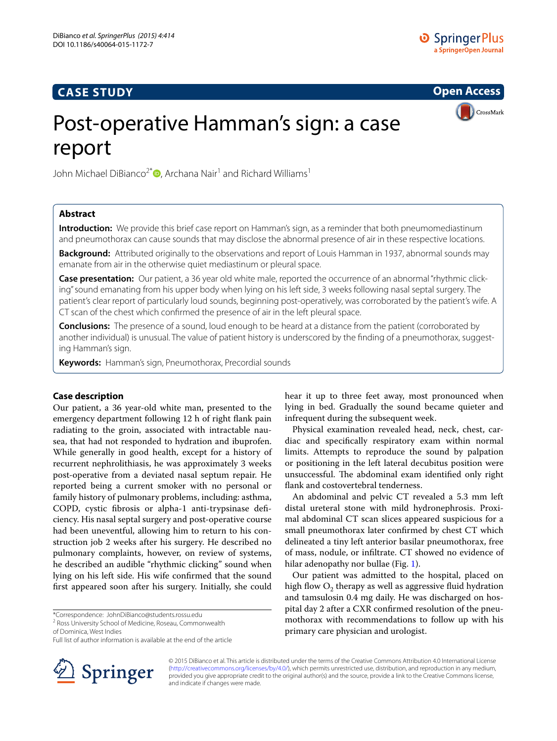# **CASE STUDY**

**Open Access**

**CrossMark** 

# Post-operative Hamman's sign: a case report

John Michael DiBianco<sup>2\*</sup> (D[,](http://orcid.org/0000-0002-4031-873X) Archana Nair<sup>1</sup> and Richard Williams<sup>1</sup>

# **Abstract**

**Introduction:** We provide this brief case report on Hamman's sign, as a reminder that both pneumomediastinum and pneumothorax can cause sounds that may disclose the abnormal presence of air in these respective locations.

**Background:** Attributed originally to the observations and report of Louis Hamman in 1937, abnormal sounds may emanate from air in the otherwise quiet mediastinum or pleural space.

**Case presentation:** Our patient, a 36 year old white male, reported the occurrence of an abnormal "rhythmic clicking" sound emanating from his upper body when lying on his left side, 3 weeks following nasal septal surgery. The patient's clear report of particularly loud sounds, beginning post-operatively, was corroborated by the patient's wife. A CT scan of the chest which confirmed the presence of air in the left pleural space.

**Conclusions:** The presence of a sound, loud enough to be heard at a distance from the patient (corroborated by another individual) is unusual. The value of patient history is underscored by the finding of a pneumothorax, suggesting Hamman's sign.

**Keywords:** Hamman's sign, Pneumothorax, Precordial sounds

# **Case description**

Our patient, a 36 year-old white man, presented to the emergency department following 12 h of right flank pain radiating to the groin, associated with intractable nausea, that had not responded to hydration and ibuprofen. While generally in good health, except for a history of recurrent nephrolithiasis, he was approximately 3 weeks post-operative from a deviated nasal septum repair. He reported being a current smoker with no personal or family history of pulmonary problems, including: asthma, COPD, cystic fibrosis or alpha-1 anti-trypsinase deficiency. His nasal septal surgery and post-operative course had been uneventful, allowing him to return to his construction job 2 weeks after his surgery. He described no pulmonary complaints, however, on review of systems, he described an audible "rhythmic clicking" sound when lying on his left side. His wife confirmed that the sound first appeared soon after his surgery. Initially, she could

\*Correspondence: JohnDiBianco@students.rossu.edu

of Dominica, West Indies

Full list of author information is available at the end of the article



hear it up to three feet away, most pronounced when lying in bed. Gradually the sound became quieter and infrequent during the subsequent week.

Physical examination revealed head, neck, chest, cardiac and specifically respiratory exam within normal limits. Attempts to reproduce the sound by palpation or positioning in the left lateral decubitus position were unsuccessful. The abdominal exam identified only right flank and costovertebral tenderness.

An abdominal and pelvic CT revealed a 5.3 mm left distal ureteral stone with mild hydronephrosis. Proximal abdominal CT scan slices appeared suspicious for a small pneumothorax later confirmed by chest CT which delineated a tiny left anterior basilar pneumothorax, free of mass, nodule, or infiltrate. CT showed no evidence of hilar adenopathy nor bullae (Fig. [1](#page-1-0)).

Our patient was admitted to the hospital, placed on high flow  $O<sub>2</sub>$  therapy as well as aggressive fluid hydration and tamsulosin 0.4 mg daily. He was discharged on hospital day 2 after a CXR confirmed resolution of the pneumothorax with recommendations to follow up with his primary care physician and urologist.

© 2015 DiBianco et al. This article is distributed under the terms of the Creative Commons Attribution 4.0 International License [\(http://creativecommons.org/licenses/by/4.0/\)](http://creativecommons.org/licenses/by/4.0/), which permits unrestricted use, distribution, and reproduction in any medium, provided you give appropriate credit to the original author(s) and the source, provide a link to the Creative Commons license, and indicate if changes were made.

<sup>&</sup>lt;sup>2</sup> Ross University School of Medicine, Roseau, Commonwealth